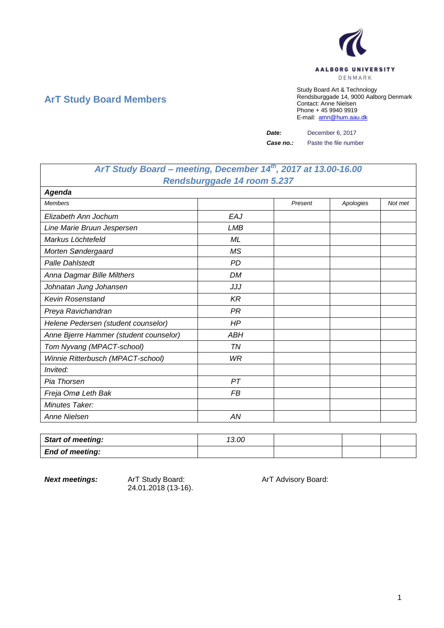

## **ArT Study Board Members**

Study Board Art & Technology Rendsburggade 14, 9000 Aalborg Denmark Contact: Anne Nielsen Phone + 45 9940 9919 E-mail: [amn@hum.aau.dk](mailto:amn@hum.aau.dk)

*Date:* December 6, 2017

**Case no.:** Paste the file number

## *ArT Study Board – meeting, December 14th, 2017 at 13.00-16.00 Rendsburggade 14 room 5.237*

| <b>Agenda</b>                          |            |         |           |         |
|----------------------------------------|------------|---------|-----------|---------|
| <b>Members</b>                         |            | Present | Apologies | Not met |
| Elizabeth Ann Jochum                   | <b>EAJ</b> |         |           |         |
| Line Marie Bruun Jespersen             | LMB        |         |           |         |
| Markus Löchtefeld                      | ML         |         |           |         |
| Morten Søndergaard                     | <b>MS</b>  |         |           |         |
| <b>Palle Dahlstedt</b>                 | <b>PD</b>  |         |           |         |
| Anna Dagmar Bille Milthers             | DM         |         |           |         |
| Johnatan Jung Johansen                 | JJJ        |         |           |         |
| <b>Kevin Rosenstand</b>                | <b>KR</b>  |         |           |         |
| Preya Ravichandran                     | <b>PR</b>  |         |           |         |
| Helene Pedersen (student counselor)    | HP         |         |           |         |
| Anne Bjerre Hammer (student counselor) | <b>ABH</b> |         |           |         |
| Tom Nyvang (MPACT-school)              | <b>TN</b>  |         |           |         |
| Winnie Ritterbusch (MPACT-school)      | WR         |         |           |         |
| Invited:                               |            |         |           |         |
| Pia Thorsen                            | PT         |         |           |         |
| Freja Omø Leth Bak                     | FB         |         |           |         |
| Minutes Taker:                         |            |         |           |         |
| Anne Nielsen                           | AN         |         |           |         |

| <b>Start of meeting:</b> | 13.00 |  |  |
|--------------------------|-------|--|--|
| <b>End of meeting:</b>   |       |  |  |

24.01.2018 (13-16).

**Next meetings:** ArT Study Board: ArT Advisory Board: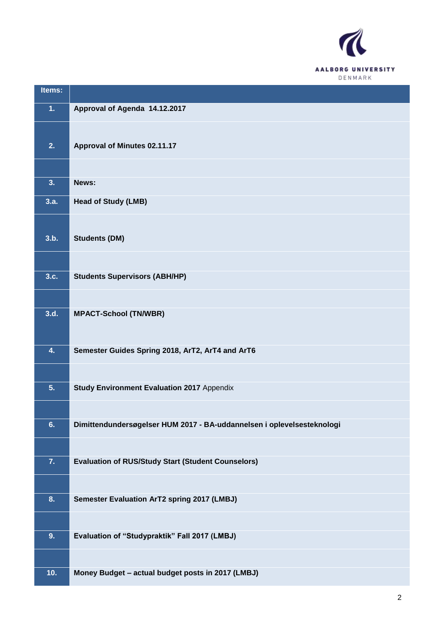

| Items: |                                                                        |
|--------|------------------------------------------------------------------------|
| 1.     | Approval of Agenda 14.12.2017                                          |
|        |                                                                        |
| 2.     | Approval of Minutes 02.11.17                                           |
|        |                                                                        |
| 3.     | News:                                                                  |
| 3.a.   | <b>Head of Study (LMB)</b>                                             |
|        |                                                                        |
| 3.b.   | <b>Students (DM)</b>                                                   |
|        |                                                                        |
| 3.c.   | <b>Students Supervisors (ABH/HP)</b>                                   |
|        |                                                                        |
| 3.d.   | <b>MPACT-School (TN/WBR)</b>                                           |
|        |                                                                        |
| 4.     | Semester Guides Spring 2018, ArT2, ArT4 and ArT6                       |
|        |                                                                        |
| 5.     | <b>Study Environment Evaluation 2017 Appendix</b>                      |
|        |                                                                        |
| 6.     | Dimittendundersøgelser HUM 2017 - BA-uddannelsen i oplevelsesteknologi |
|        |                                                                        |
| 7.     | <b>Evaluation of RUS/Study Start (Student Counselors)</b>              |
|        |                                                                        |
| 8.     | Semester Evaluation ArT2 spring 2017 (LMBJ)                            |
|        |                                                                        |
| 9.     | Evaluation of "Studypraktik" Fall 2017 (LMBJ)                          |
|        |                                                                        |
| 10.    | Money Budget - actual budget posts in 2017 (LMBJ)                      |